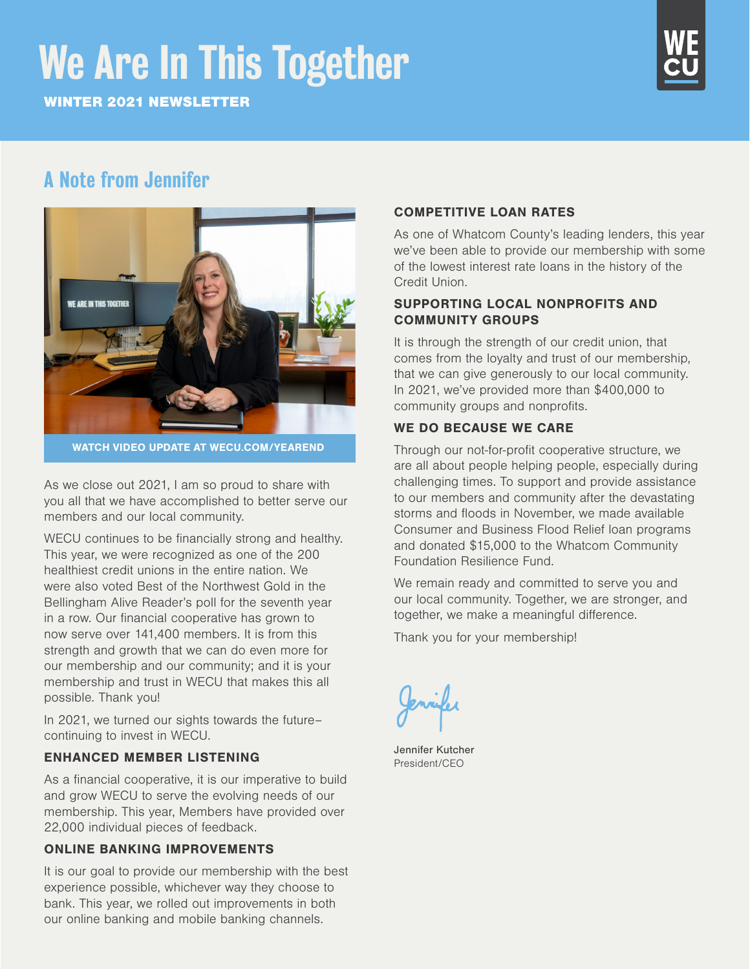# We Are In This Together

WINTER 2021 NEWSLETTER



# A Note from Jennifer



WATCH VIDEO UPDATE AT WECU.COM/YEAREND

As we close out 2021, I am so proud to share with you all that we have accomplished to better serve our members and our local community.

WECU continues to be financially strong and healthy. This year, we were recognized as one of the 200 healthiest credit unions in the entire nation. We were also voted Best of the Northwest Gold in the Bellingham Alive Reader's poll for the seventh year in a row. Our financial cooperative has grown to now serve over 141,400 members. It is from this strength and growth that we can do even more for our membership and our community; and it is your membership and trust in WECU that makes this all possible. Thank you!

In 2021, we turned our sights towards the future– continuing to invest in WECU.

### ENHANCED MEMBER LISTENING

As a financial cooperative, it is our imperative to build and grow WECU to serve the evolving needs of our membership. This year, Members have provided over 22,000 individual pieces of feedback.

### ONLINE BANKING IMPROVEMENTS

It is our goal to provide our membership with the best experience possible, whichever way they choose to bank. This year, we rolled out improvements in both our online banking and mobile banking channels.

### COMPETITIVE LOAN RATES

As one of Whatcom County's leading lenders, this year we've been able to provide our membership with some of the lowest interest rate loans in the history of the Credit Union.

### SUPPORTING LOCAL NONPROFITS AND COMMUNITY GROUPS

It is through the strength of our credit union, that comes from the loyalty and trust of our membership, that we can give generously to our local community. In 2021, we've provided more than \$400,000 to community groups and nonprofits.

### WE DO BECAUSE WE CARE

Through our not-for-profit cooperative structure, we are all about people helping people, especially during challenging times. To support and provide assistance to our members and community after the devastating storms and floods in November, we made available Consumer and Business Flood Relief loan programs and donated \$15,000 to the Whatcom Community Foundation Resilience Fund.

We remain ready and committed to serve you and our local community. Together, we are stronger, and together, we make a meaningful difference.

Thank you for your membership!

Jennifer Kutcher President/CEO